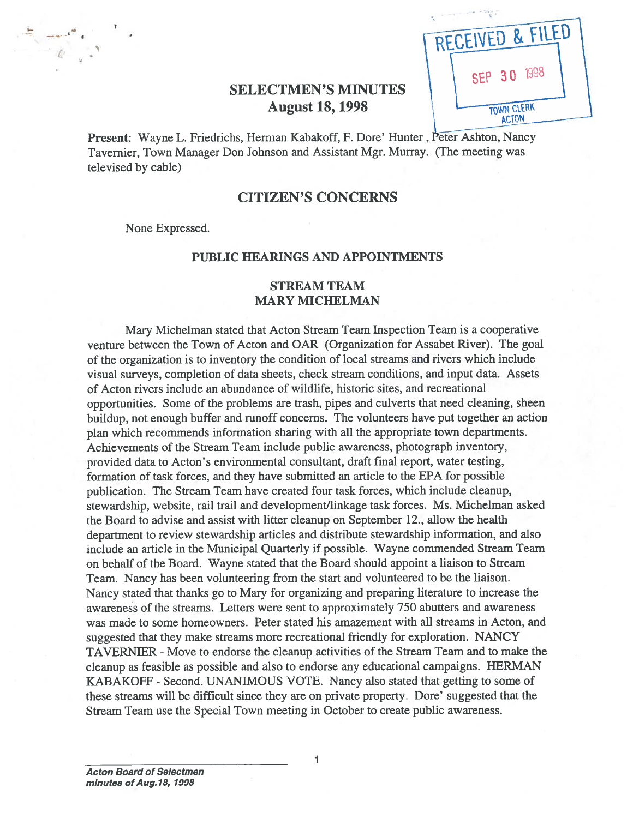| RECEIVED & FILED                  |  |
|-----------------------------------|--|
| 1998<br><b>SEP 30</b>             |  |
| <b>TOWN CLERK</b><br><b>ACTON</b> |  |

# SELECTMEN'S MINUTES August 18, 1998

Present: Wayne L. Friedrichs, Herman Kabakoff, F. Dore' Hunter, Peter Ashton, Nancy Tavernier, Town Manager Don Johnson and Assistant Mgr. Murray. (The meeting was televised by cable)

### CITIZEN'S CONCERNS

None Expressed.

### PUBLIC HEARINGS AND APPOINTMENTS

### STREAM TEAM MARY MICHELMAN

Mary Michelman stated that Acton Stream Team Inspection Team is <sup>a</sup> cooperative venture between the Town of Acton and OAR (Organization for Assabet River). The goal of the organization is to inventory the condition of local streams and rivers which include visual surveys, completion of data sheets, check stream conditions, and input data. Assets of Acton rivers include an abundance of wildlife, historic sites, and recreational opportunities. Some of the problems are trash, <sup>p</sup>ipes and culverts that need cleaning, sheen buildup, not enoug<sup>h</sup> buffer and runoff concerns. The volunteers have pu<sup>t</sup> together an action <sup>p</sup>lan which recommends information sharing with all the appropriate town departments. Achievements of the Stream Team include public awareness, photograph inventory, provided data to Acton's environmental consultant, draft final report, water testing, formation of task forces, and they have submitted an article to the EPA for possible publication. The Stream Team have created four task forces, which include cleanup, stewardship, website, rail trail and development/linkage task forces. Ms. Michelman asked the Board to advise and assist with litter cleanup on September 12., allow the health department to review stewardship articles and distribute stewardship information, and also include an article in the Municipal Quarterly if possible. Wayne commended Stream Team on behalf of the Board. Wayne stated that the Board should appoint <sup>a</sup> liaison to Stream Team. Nancy has been volunteering from the start and volunteered to be the liaison. Nancy stated that thanks go to Mary for organizing and preparing literature to increase the awareness of the streams. Letters were sent to approximately 750 abutters and awareness was made to some homeowners. Peter stated his amazement with all streams in Acton, and suggested that they make streams more recreational friendly for exploration. NANCY TAVERNIER -Move to endorse the cleanup activities of the Stream Team and to make the cleanup as feasible as possible and also to endorse any educational campaigns. HERMAN KABAKOFF - Second. UNANIMOUS VOTE. Nancy also stated that getting to some of these streams will be difficult since they are on private property. Dore' suggested that the Stream Team use the Special Town meeting in October to create public awareness.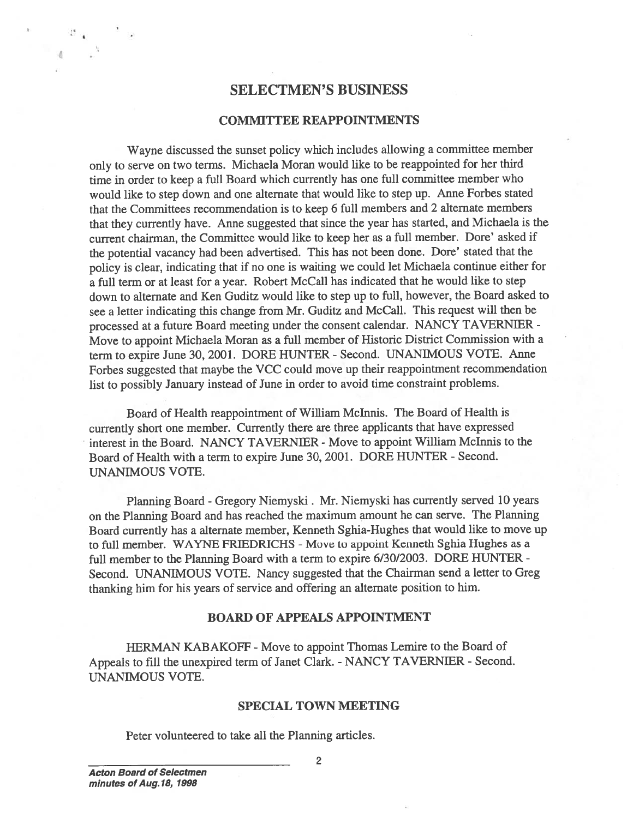### SELECTMEN'S BUSINESS

#### COMMITTEE REAPPOINTMENTS

Wayne discussed the sunset policy which includes allowing <sup>a</sup> committee member only to serve on two terms. Michaela Moran would like to be reappointed for her third time in order to keep <sup>a</sup> full Board which currently has one full committee member who would like to step down and one alternate that would like to step up. Anne Forbes stated that the Committees recommendation is to keep <sup>6</sup> full members and <sup>2</sup> alternate members that they currently have. Anne suggested that since the year has started, and Michaela is the current chairman, the Committee would like to keep her as <sup>a</sup> full member. Dore' asked if the potential vacancy had been advertised. This has not been done. Dore' stated that the policy is clear, indicating that if no one is waiting we could let Michaela continue either for <sup>a</sup> full term or at least for <sup>a</sup> year. Robert McCall has indicated that he would like to step down to alternate and Ken Guditz would like to step up to full, however, the Board asked to see <sup>a</sup> letter indicating this change from Mr. Guditz and McCall. This reques<sup>t</sup> will then be processe<sup>d</sup> at <sup>a</sup> future Board meeting under the consent calendar. NANCY TAVERNIER - Move to appoint Michaela Moran as <sup>a</sup> full member of Historic District Commission with <sup>a</sup> term to expire June 30, 2001. DORE HUNTER - Second. UNANIMOUS VOTE. Anne Forbes suggested that maybe the VCC could move up their reappointment recommendation list to possibly January instead of June in order to avoid time constraint problems.

Board of Health reappointment of William Mclnnis. The Board of Health is currently short one member. Currently there are three applicants that have expresse<sup>d</sup> interest in the Board. NANCY TAVERNIER - Move to appoint William McInnis to the Board of Health with a term to expire June 30, 2001. DORE HUNTER - Second. UNANIMOUS VOTE.

Planning Board -Gregory Niemyski. Mr. Niemyski has currently served <sup>10</sup> years on the Planning Board and has reached the maximum amount he can serve. The Planning Board currently has <sup>a</sup> alternate member, Kenneth Sghia-Hughes that would like to move up to full member. WAYNE FRIEDRICHS - Move to appoint Kenneth Sghia Hughes as a full member to the Planning Board with <sup>a</sup> term to expire 6/30/2003. DORE HUNTER - Second. UNANIMOUS VOTE. Nancy suggested that the Chairman send <sup>a</sup> letter to Greg thanking him for his years of service and offering an alternate position to him.

#### BOARD OF APPEALS APPOINTMENT

HERMAN KABAKOFF - Move to appoint Thomas Lemire to the Board of Appeals to fill the unexpired term of Janet Clark. - NANCY TAVERNIER - Second. UNANIMOUS VOTE.

#### SPECIAL TOWN MEETING

Peter volunteered to take all the Planning articles.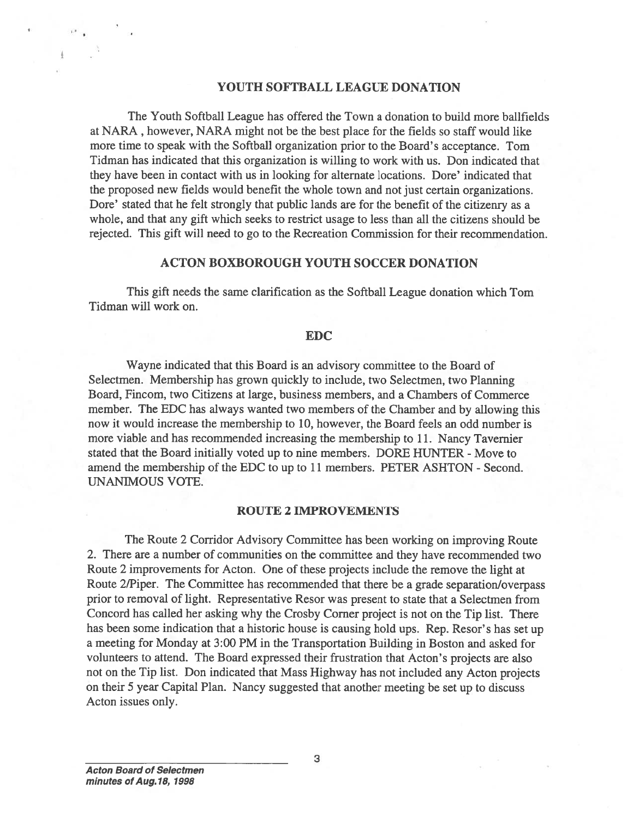#### YOUTH SOFTBALL LEAGUE DONATION

The Youth Softball League has offered the Town <sup>a</sup> donation to build more baiffields at NARA ,however, NARA might not be the best place for the fields so staff would like more time to speak with the Softball organization prior to the Board's acceptance. Tom Tidman has indicated that this organization is willing to work with us. Don indicated that they have been in contact with us in looking for alternate locations. Dore' indicated that the proposed new fields would benefit the whole town and not just certain organizations. Dore' stated that he felt strongly that public lands are for the benefit of the citizenry as <sup>a</sup> whole, and that any gift which seeks to restrict usage to less than all the citizens should be rejected. This gift will need to go to the Recreation Commission for their recommendation.

#### ACTON BOXBOROUGH YOUTH SOCCER DONATION

This gift needs the same clarification as the Softball League donation which Tom Tidman will work on.

#### EDC

Wayne indicated that this Board is an advisory committee to the Board of Selectmen. Membership has grown quickly to include, two Selectmen, two Planning Board, Fincom, two Citizens at large, business members, and <sup>a</sup> Chambers of Commerce member. The EDC has always wanted two members of the Chamber and by allowing this now it would increase the membership to 10, however, the Board feels an odd number is more viable and has recommended increasing the membership to 11. Nancy Tavernier stated that the Board initially voted up to nine members. DORE HUNTER - Move to amend the membership of the EDC to up to 11 members. PETER ASHTON - Second. UNANIMOUS VOTE.

#### ROUTE 2 IMPROVEMENTS

The Route <sup>2</sup> Corridor Advisory Committee has been working on improving Route 2. There are <sup>a</sup> number of communities on the committee and they have recommended two Route 2 improvements for Acton. One of these projects include the remove the light at Route 2/Piper. The Committee has recommended that there be a grade separation/overpass prior to removal of light. Representative Resor was presen<sup>t</sup> to state that <sup>a</sup> Selectmen from Concord has called her asking why the Crosby Corner project is not on the Tip list. There has been some indication that <sup>a</sup> historic house is causing hold ups. Rep. Resor's has set up <sup>a</sup> meeting for Monday at 3:00 PM in the Transportation Building in Boston and asked for volunteers to attend. The Board expressed their frustration that Acton's projects are also not on the Tip list. Don indicated that Mass Highway has not included any Acton projects on their 5 year Capital Plan. Nancy suggested that another meeting be set up to discuss Acton issues only.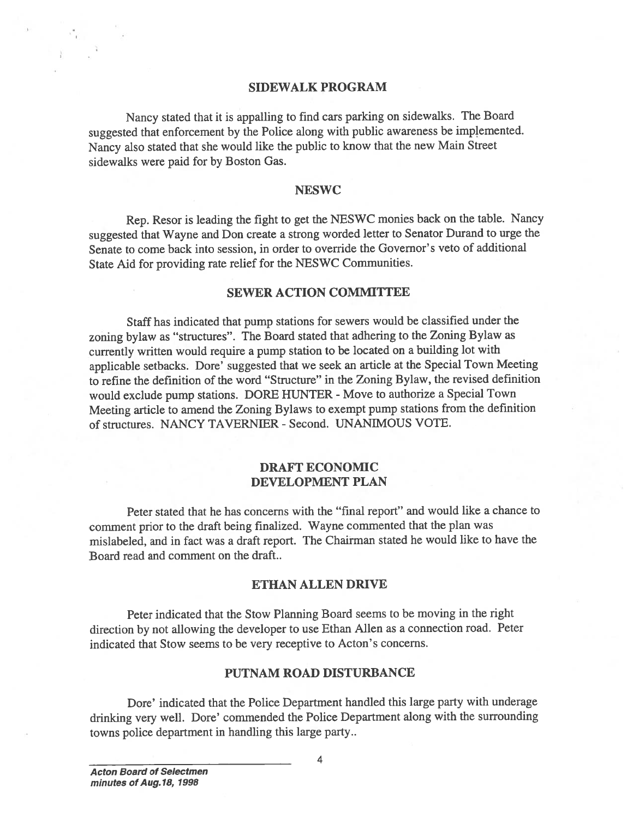#### SIDEWALK PROGRAM

Nancy stated that it is appalling to find cars parking on sidewalks. The Board suggested that enforcement by the Police along with public awareness be implemented. Nancy also stated that she would like the public to know that the new Main Street sidewalks were paid for by Boston Gas.

#### **NESWC**

Rep. Resor is leading the fight to ge<sup>t</sup> the NESWC monies back on the table. Nancy suggested that Wayne and Don create <sup>a</sup> strong worded letter to Senator Durand to urge the Senate to come back into session, in order to override the Governor's veto of additional State Aid for providing rate relief for the NESWC Communities.

#### SEWER ACTION COMMITTEE

Staff has indicated that pump stations for sewers would be classified under the zoning bylaw as "structures". The Board stated that adhering to the Zoning Bylaw as currently written would require <sup>a</sup> pump station to be located on <sup>a</sup> building lot with applicable setbacks. Dore' suggested that we seek an article at the Special Town Meeting to refine the definition of the word "Structure" in the Zoning Bylaw, the revised definition would exclude pump stations. DORE HUNTER <sup>=</sup> Move to authorize <sup>a</sup> Special Town Meeting article to amend the Zoning Bylaws to exemp<sup>t</sup> pump stations from the definition of structures. NANCY TAVERNIER - Second. UNANIMOUS VOTE. SIDEWALK PROG<br>
SIDEWALK PROG<br>
Nancy slagested that enforcement by the Police along with p<br>
Nancy also stated that she would like the public to kn<br>
sidewalks were paid for by Boston Gas.<br>
NESWC<br>
Rep. Resor is leading the fi

### DRAFT ECONOMIC DEVELOPMENT PLAN

Peter stated that he has concerns with the "final report" and would like <sup>a</sup> chance to comment prior to the draft being finalized. Wayne commented that the <sup>p</sup>lan was mislabeled, and in fact was <sup>a</sup> draft report. The Chairman stated he would like to have the Board read and comment on the draft..

#### ETHAN ALLEN DRIVE

Peter indicated that the Stow Planning Board seems to be moving in the right direction by not allowing the developer to use Ethan Allen as <sup>a</sup> connection road. Peter indicated that Stow seems to be very receptive to Acton's concerns.

### PUTNAM ROAD DISTURBANCE

Dore' indicated that the Police Department handled this large party with underage drinking very well. Dore' commended the Police Department along with the surrounding

4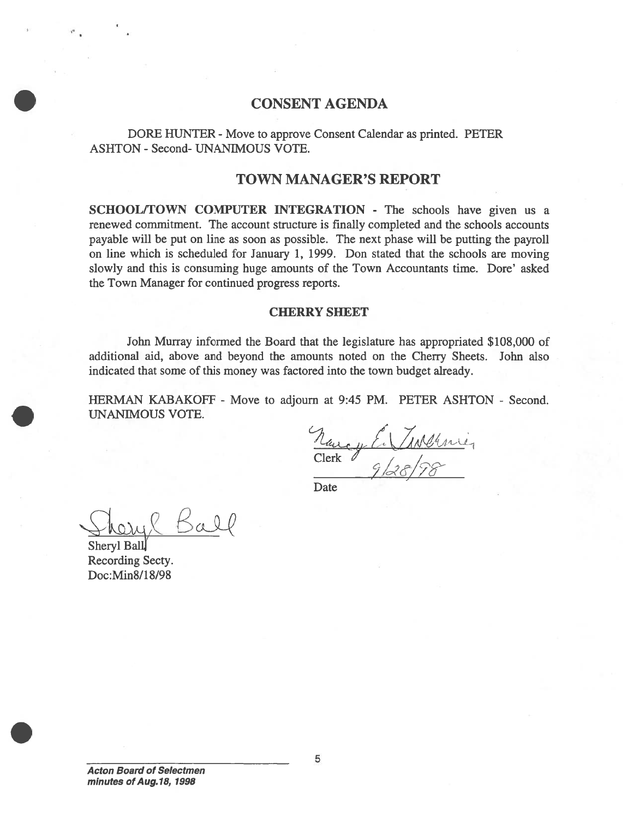## CONSENT AGENDA

DORE HUNTER - Move to approve Consent Calendar as printed. PETER ASHTON - Second- UNANIMOUS VOTE.

### TOWN MANAGER'S REPORT

SCHOOL/TOWN COMPUTER INTEGRATION - The schools have given us a renewed commitment. The account structure is finally completed and the schools accounts payable will be pu<sup>t</sup> on line as soon as possible. The next phase will be putting the payroll on line which is scheduled for January 1, 1999. Don stated that the schools are moving slowly and this is consuming huge amounts of the Town Accountants time. Dore' asked the Town Manager for continued progress reports. CONS<br>
DORE HUNTER - Move to app<br>
ASHTON - Second- UNANIMOUS VC<br>
TOWN I<br>
SCHOOL/TOWN COMPUTER IN<br>
reavend commitment. The account structure<br>
payable will be put on line as soon as p<br>
on line which is scheduled for January<br>

#### CHERRY SHEET

John Murray informed the Board that the legislature has appropriated \$108,000 of additional aid, above and beyond the amounts noted on the Cherry Sheets. John also indicated that some of this money was factored into the town budget already.

HERMAN KABAKOFF - Move to adjourn at 9:45 PM. PETER ASHTON - Second. UNANIMOUS VOTE.

/  $\frac{1}{2}$   $\frac{1}{2}$  $\overline{\nu}$  / Clerk  $\phi$ 

Date

Sheryl Ball Recording Secty.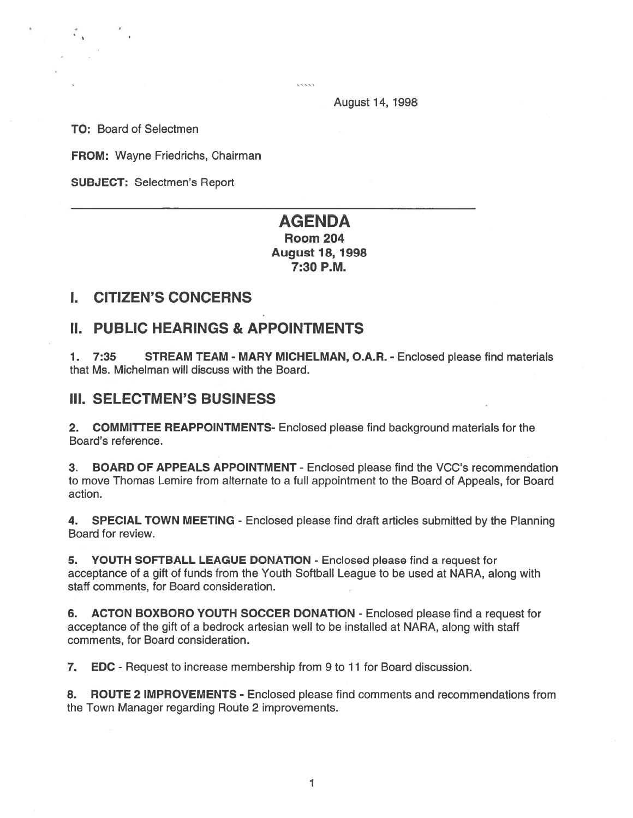.....

August 14, 1998

TO: Board of Selectmen

FROM: Wayne Friedrichs, Chairman

SUBJECT: Selectmen's Report

# AGENDA

Room 204 August 18, 1998 7:30 P.M.

# I. CITIZEN'S CONCERNS

# II. PUBLIC HEARINGS & APPOINTMENTS

1. 7:35 STREAM TEAM - MARY MICHELMAN, O.A.R. - Enclosed please find materials that Ms. Michelman will discuss with the Board.

## III. SELECTMEN'S BUSINESS

2. COMMITTEE REAPPOINTMENTS- Enclosed please find background materials for the Board's reference.

3. BOARD OF APPEALS APPOINTMENT - Enclosed please find the VCC's recommendation to move Thomas Lemire from alternate to <sup>a</sup> full appointment to the Board of Appeals, for Board action.

4. SPECIAL TOWN MEETING - Enclosed please find draft articles submitted by the Planning Board for review.

5. YOUTH SOFTBALL LEAGUE DONATION - Enclosed please find <sup>a</sup> reques<sup>t</sup> for acceptance of <sup>a</sup> gift of funds from the Youth Softball League to be used at NARA, along with staff comments, for Board consideration.

6. ACTON BOXBORO YOUTH SOCCER DONATION - Enclosed please find <sup>a</sup> reques<sup>t</sup> for acceptance of the gift of <sup>a</sup> bedrock artesian well to be installed at NARA, along with staff comments, for Board consideration.

7. EDC - Request to increase membership from 9 to 11 for Board discussion.

8. ROUTE 2 IMPROVEMENTS - Enclosed please find comments and recommendations from the Town Manager regarding Route 2 improvements.